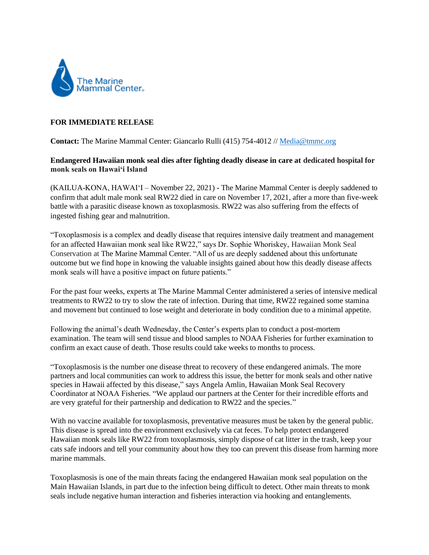

## **FOR IMMEDIATE RELEASE**

**Contact:** The Marine Mammal Center: Giancarlo Rulli (415) 754-4012 // [Media@tmmc.org](mailto:Media@tmmc.org)

## **Endangered Hawaiian monk seal dies after fighting deadly disease in care at dedicated hospital for monk seals on Hawai'i Island**

(KAILUA-KONA, HAWAIʻI – November 22, 2021) **-** The Marine Mammal Center is deeply saddened to confirm that adult male monk seal RW22 died in care on November 17, 2021, after a more than five-week battle with a parasitic disease known as toxoplasmosis. RW22 was also suffering from the effects of ingested fishing gear and malnutrition.

"Toxoplasmosis is a complex and deadly disease that requires intensive daily treatment and management for an affected Hawaiian monk seal like RW22," says Dr. Sophie Whoriskey, Hawaiian Monk Seal Conservation at The Marine Mammal Center. "All of us are deeply saddened about this unfortunate outcome but we find hope in knowing the valuable insights gained about how this deadly disease affects monk seals will have a positive impact on future patients."

For the past four weeks, experts at The Marine Mammal Center administered a series of intensive medical treatments to RW22 to try to slow the rate of infection. During that time, RW22 regained some stamina and movement but continued to lose weight and deteriorate in body condition due to a minimal appetite.

Following the animal's death Wednesday, the Center's experts plan to conduct a post-mortem examination. The team will send tissue and blood samples to NOAA Fisheries for further examination to confirm an exact cause of death. Those results could take weeks to months to process.

"Toxoplasmosis is the number one disease threat to recovery of these endangered animals. The more partners and local communities can work to address this issue, the better for monk seals and other native species in Hawaii affected by this disease," says Angela Amlin, Hawaiian Monk Seal Recovery Coordinator at NOAA Fisheries. "We applaud our partners at the Center for their incredible efforts and are very grateful for their partnership and dedication to RW22 and the species."

With no vaccine available for toxoplasmosis, preventative measures must be taken by the general public. This disease is spread into the environment exclusively via cat feces. To help protect endangered Hawaiian monk seals like RW22 from toxoplasmosis, simply dispose of cat litter in the trash, keep your cats safe indoors and tell your community about how they too can prevent this disease from harming more marine mammals.

Toxoplasmosis is one of the main threats facing the endangered Hawaiian monk seal population on the Main Hawaiian Islands, in part due to the infection being difficult to detect. Other main threats to monk seals include negative human interaction and fisheries interaction via hooking and entanglements.